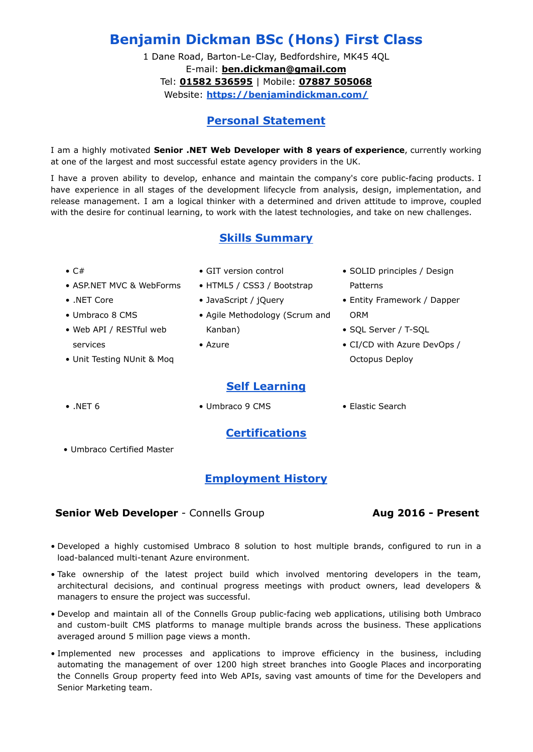# **Benjamin Dickman BSc (Hons) First Class**

1 Dane Road, Barton-Le-Clay, Bedfordshire, MK45 4QL E-mail: **[ben.dickman@gmail.com](mailto:ben.dickman@gmail.com)** Tel: **01582 536595** | Mobile: **07887 505068** Website: **<https://benjamindickman.com/>**

# **Personal Statement**

I am a highly motivated **Senior .NET Web Developer with 8 years of experience**, currently working at one of the largest and most successful estate agency providers in the UK.

I have a proven ability to develop, enhance and maintain the company's core public-facing products. I have experience in all stages of the development lifecycle from analysis, design, implementation, and release management. I am a logical thinker with a determined and driven attitude to improve, coupled with the desire for continual learning, to work with the latest technologies, and take on new challenges.

#### **Skills Summary**

 $\bullet$  C#

- GIT version control
- HTML5 / CSS3 / Bootstrap

- .NET Core
- Umbraco 8 CMS
- Web API / RESTful web services

• ASP.NET MVC & WebForms

- Unit Testing NUnit & Moq
- 
- JavaScript / jQuery
- Agile Methodology (Scrum and Kanban)
- Azure
	- **Self Learning**
- SOLID principles / Design Patterns
- Entity Framework / Dapper ORM
- SQL Server / T-SQL
- CI/CD with Azure DevOps / Octopus Deploy

- 
- .NET 6 Umbraco 9 CMS Elastic Search
	- **Certifications**
- Umbraco Certified Master

# **Employment History**

# **Senior Web Developer** - Connells Group **Aug 2016 - Present**

- Developed a highly customised Umbraco 8 solution to host multiple brands, configured to run in a load-balanced multi-tenant Azure environment.
- Take ownership of the latest project build which involved mentoring developers in the team, architectural decisions, and continual progress meetings with product owners, lead developers & managers to ensure the project was successful.
- Develop and maintain all of the Connells Group public-facing web applications, utilising both Umbraco and custom-built CMS platforms to manage multiple brands across the business. These applications averaged around 5 million page views a month.
- Implemented new processes and applications to improve efficiency in the business, including automating the management of over 1200 high street branches into Google Places and incorporating the Connells Group property feed into Web APIs, saving vast amounts of time for the Developers and Senior Marketing team.